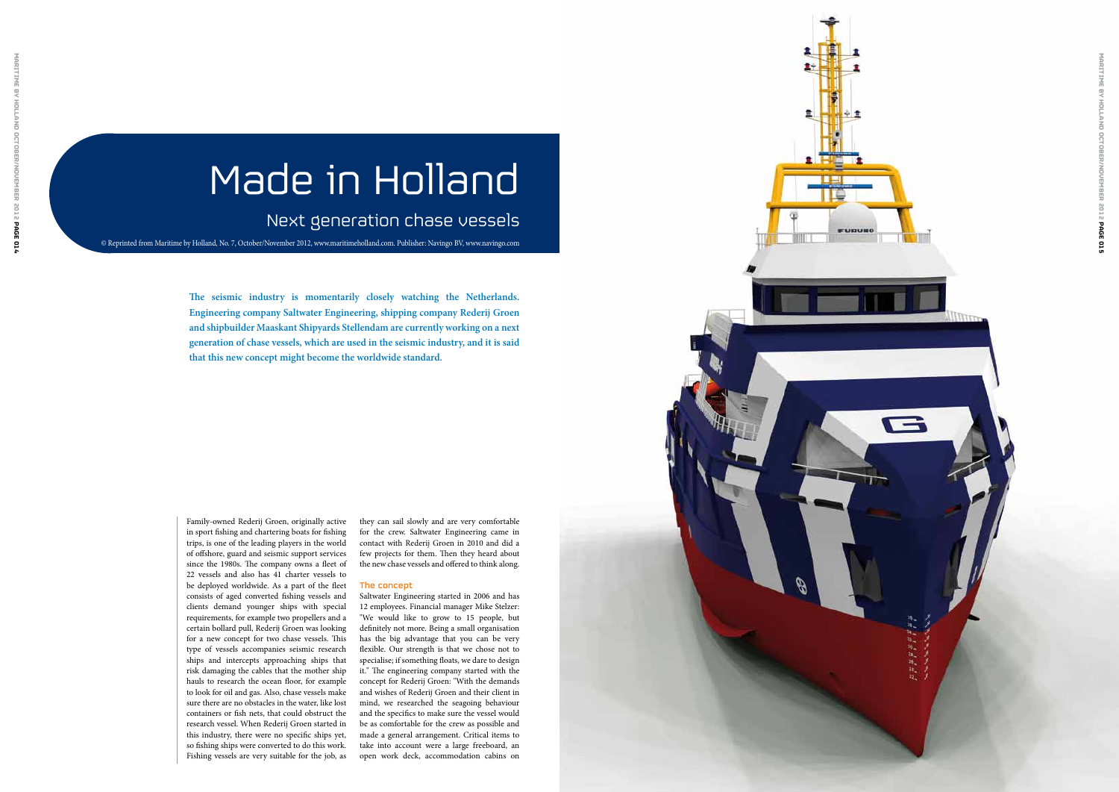Family-owned Rederij Groen, originally active in sport fishing and chartering boats for fishing trips, is one of the leading players in the world of offshore, guard and seismic support services since the 1980s. The company owns a fleet of 22 vessels and also has 41 charter vessels to be deployed worldwide. As a part of the fleet consists of aged converted fishing vessels and clients demand younger ships with special requirements, for example two propellers and a certain bollard pull, Rederij Groen was looking for a new concept for two chase vessels. This type of vessels accompanies seismic research ships and intercepts approaching ships that risk damaging the cables that the mother ship hauls to research the ocean floor, for example to look for oil and gas. Also, chase vessels make sure there are no obstacles in the water, like lost containers or fish nets, that could obstruct the research vessel. When Rederij Groen started in this industry, there were no specific ships yet, so fishing ships were converted to do this work. Fishing vessels are very suitable for the job, as they can sail slowly and are very comfortable for the crew. Saltwater Engineering came in contact with Rederij Groen in 2010 and did a few projects for them. Then they heard about the new chase vessels and offered to think along.

#### The concept

Saltwater Engineering started in 2006 and has 12 employees. Financial manager Mike Stelzer: "We would like to grow to 15 people, but definitely not more. Being a small organisation has the big advantage that you can be very flexible. Our strength is that we chose not to specialise; if something floats, we dare to design it." The engineering company started with the concept for Rederij Groen: "With the demands and wishes of Rederij Groen and their client in mind, we researched the seagoing behaviour and the specifics to make sure the vessel would be as comfortable for the crew as possible and made a general arrangement. Critical items to take into account were a large freeboard, an open work deck, accommodation cabins on

# Made in Holland

### Next generation chase vessels

**The seismic industry is momentarily closely watching the Netherlands. Engineering company Saltwater Engineering, shipping company Rederij Groen and shipbuilder Maaskant Shipyards Stellendam are currently working on a next generation of chase vessels, which are used in the seismic industry, and it is said that this new concept might become the worldwide standard.**



© Reprinted from Maritime by Holland, No. 7, October/November 2012, www.maritimeholland.com. Publisher: Navingo BV, www.navingo.com